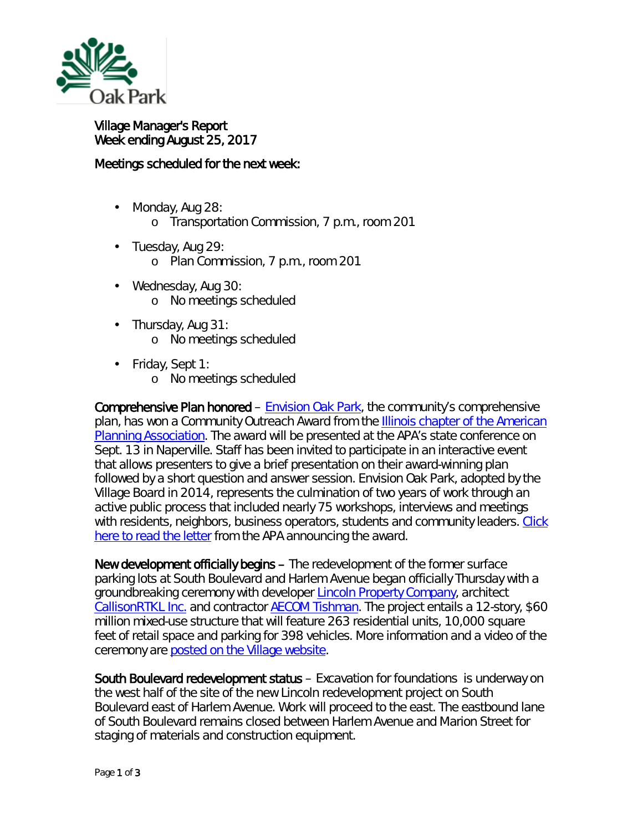

Village Manager's Report Week ending August 25, 2017

## Meetings scheduled for the next week:

- t, Monday, Aug 28:
	- o Transportation Commission, 7 p.m., room 201
- Tuesday, Aug 29: o Plan Commission, 7 p.m., room 201
- ä, Wednesday, Aug 30: o No meetings scheduled
- ä, Thursday, Aug 31: o No meetings scheduled
- Friday, Sept 1:
	- o No meetings scheduled

Comprehensive Plan honored – [Envision Oak Park,](http://www.oak-park.us/village-services/planning/comprehensive-planning) the community's comprehensive plan, has won a *Community Outreach Award* from the [Illinois chapter of the American](http://www.ilapa.org/)  [Planning Association.](http://www.ilapa.org/) The award will be presented at the APA's state conference on Sept. 13 in Naperville. Staff has been invited to participate in an interactive event that allows presenters to give a brief presentation on their award-winning plan followed by a short question and answer session. Envision Oak Park, adopted by the Village Board in 2014, represents the culmination of two years of work through an active public process that included nearly 75 workshops, interviews and meetings with residents, neighbors, business operators, students and community leaders. [Click](http://www.oak-park.us/sites/default/files/456678891/2017-08-24-apa-award-letter-envision0oak-park.pdf)  [here to read the letter](http://www.oak-park.us/sites/default/files/456678891/2017-08-24-apa-award-letter-envision0oak-park.pdf) from the APA announcing the award.

New development officially begins – The redevelopment of the former surface parking lots at South Boulevard and Harlem Avenue began officially Thursday with a groundbreaking ceremony with developer [Lincoln Property Company,](http://www.lpc.com/) architect [CallisonRTKL Inc.](https://www.callisonrtkl.com/) and contractor [AECOM Tishman.](http://www.aecom.com/ca/aecom-tishman/) The project entails a 12-story, \$60 million mixed-use structure that will feature 263 residential units, 10,000 square feet of retail space and parking for 398 vehicles. More information and a video of the ceremony are [posted on the Village website.](http://www.oak-park.us/news/lincoln-development-project-underway)

South Boulevard redevelopment status – Excavation for foundations is underway on the west half of the site of the new Lincoln redevelopment project on South Boulevard east of Harlem Avenue. Work will proceed to the east. The eastbound lane of South Boulevard remains closed between Harlem Avenue and Marion Street for staging of materials and construction equipment.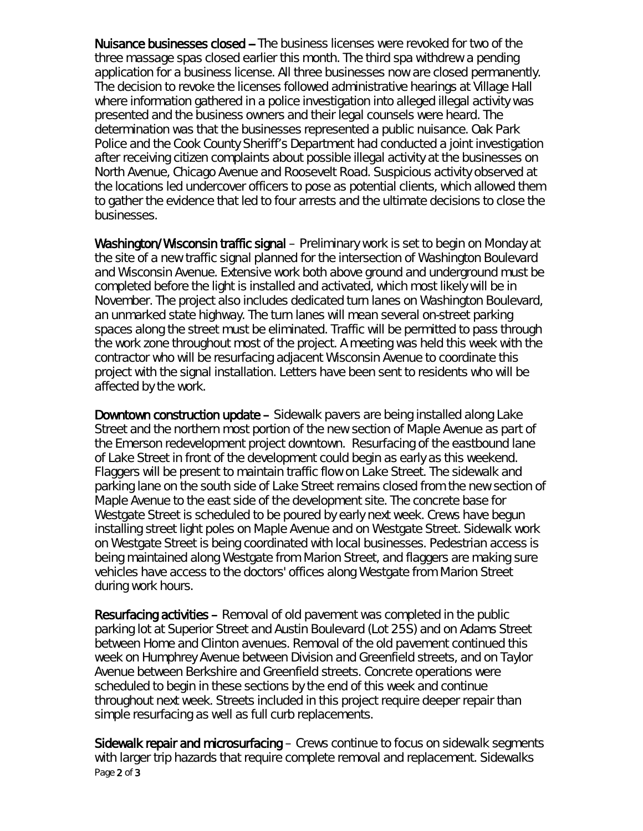Nuisance businesses closed -- The business licenses were revoked for two of the three massage spas closed earlier this month. The third spa withdrew a pending application for a business license. All three businesses now are closed permanently. The decision to revoke the licenses followed administrative hearings at Village Hall where information gathered in a police investigation into alleged illegal activity was presented and the business owners and their legal counsels were heard. The determination was that the businesses represented a public nuisance. Oak Park Police and the Cook County Sheriff's Department had conducted a joint investigation after receiving citizen complaints about possible illegal activity at the businesses on North Avenue, Chicago Avenue and Roosevelt Road. Suspicious activity observed at the locations led undercover officers to pose as potential clients, which allowed them to gather the evidence that led to four arrests and the ultimate decisions to close the businesses.

Washington/Wisconsin traffic signal – Preliminary work is set to begin on Monday at the site of a new traffic signal planned for the intersection of Washington Boulevard and Wisconsin Avenue. Extensive work both above ground and underground must be completed before the light is installed and activated, which most likely will be in November. The project also includes dedicated turn lanes on Washington Boulevard, an unmarked state highway. The turn lanes will mean several on-street parking spaces along the street must be eliminated. Traffic will be permitted to pass through the work zone throughout most of the project. A meeting was held this week with the contractor who will be resurfacing adjacent Wisconsin Avenue to coordinate this project with the signal installation. Letters have been sent to residents who will be affected by the work.

Downtown construction update – Sidewalk pavers are being installed along Lake Street and the northern most portion of the new section of Maple Avenue as part of the Emerson redevelopment project downtown. Resurfacing of the eastbound lane of Lake Street in front of the development could begin as early as this weekend. Flaggers will be present to maintain traffic flow on Lake Street. The sidewalk and parking lane on the south side of Lake Street remains closed from the new section of Maple Avenue to the east side of the development site. The concrete base for Westgate Street is scheduled to be poured by early next week. Crews have begun installing street light poles on Maple Avenue and on Westgate Street. Sidewalk work on Westgate Street is being coordinated with local businesses. Pedestrian access is being maintained along Westgate from Marion Street, and flaggers are making sure vehicles have access to the doctors' offices along Westgate from Marion Street during work hours.

Resurfacing activities – Removal of old pavement was completed in the public parking lot at Superior Street and Austin Boulevard (Lot 25S) and on Adams Street between Home and Clinton avenues. Removal of the old pavement continued this week on Humphrey Avenue between Division and Greenfield streets, and on Taylor Avenue between Berkshire and Greenfield streets. Concrete operations were scheduled to begin in these sections by the end of this week and continue throughout next week. Streets included in this project require deeper repair than simple resurfacing as well as full curb replacements.

Page 2 of 3 Sidewalk repair and microsurfacing – Crews continue to focus on sidewalk segments with larger trip hazards that require complete removal and replacement. Sidewalks